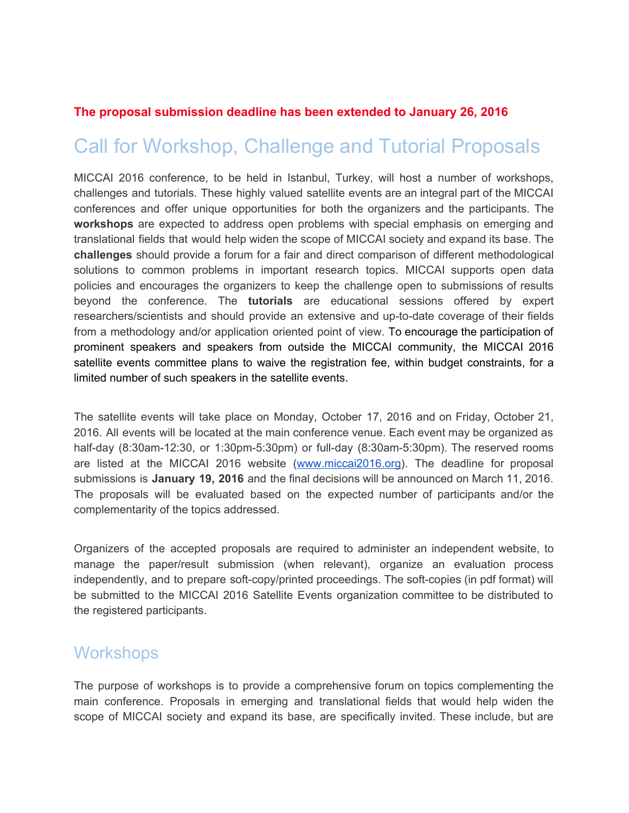#### **The proposal submission deadline has been extended to January 26, 2016**

# Call for Workshop, Challenge and Tutorial Proposals

MICCAI 2016 conference, to be held in Istanbul, Turkey, will host a number of workshops, challenges and tutorials. These highly valued satellite events are an integral part of the MICCAI conferences and offer unique opportunities for both the organizers and the participants. The **workshops** are expected to address open problems with special emphasis on emerging and translational fields that would help widen the scope of MICCAI society and expand its base. The **challenges** should provide a forum for a fair and direct comparison of different methodological solutions to common problems in important research topics. MICCAI supports open data policies and encourages the organizers to keep the challenge open to submissions of results beyond the conference. The **tutorials** are educational sessions offered by expert researchers/scientists and should provide an extensive and up-to-date coverage of their fields from a methodology and/or application oriented point of view. To encourage the participation of prominent speakers and speakers from outside the MICCAI community, the MICCAI 2016 satellite events committee plans to waive the registration fee, within budget constraints, for a limited number of such speakers in the satellite events.

The satellite events will take place on Monday, October 17, 2016 and on Friday, October 21, 2016. All events will be located at the main conference venue. Each event may be organized as half-day  $(8:30am-12:30, or 1:30pm-5:30pm)$  or full-day  $(8:30am-5:30pm)$ . The reserved rooms are listed at the MICCAI 2016 website [\(www.miccai2016.org\)](http://www.miccai2016.org/). The deadline for proposal submissions is **January 19, 2016** and the final decisions will be announced on March 11, 2016. The proposals will be evaluated based on the expected number of participants and/or the complementarity of the topics addressed.

Organizers of the accepted proposals are required to administer an independent website, to manage the paper/result submission (when relevant), organize an evaluation process independently, and to prepare soft-copy/printed proceedings. The soft-copies (in pdf format) will be submitted to the MICCAI 2016 Satellite Events organization committee to be distributed to the registered participants.

#### **Workshops**

The purpose of workshops is to provide a comprehensive forum on topics complementing the main conference. Proposals in emerging and translational fields that would help widen the scope of MICCAI society and expand its base, are specifically invited. These include, but are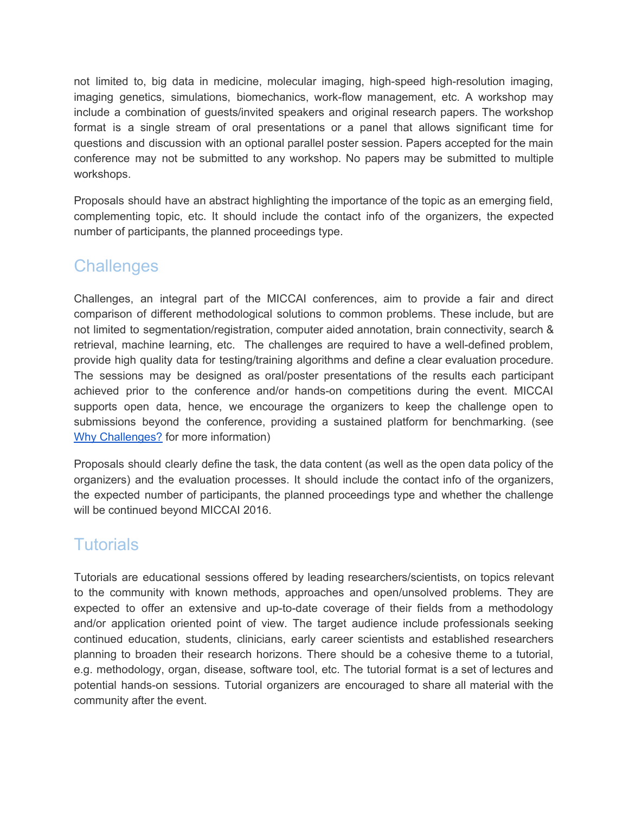not limited to, big data in medicine, molecular imaging, high-speed high-resolution imaging, imaging genetics, simulations, biomechanics, work-flow management, etc. A workshop may include a combination of guests/invited speakers and original research papers. The workshop format is a single stream of oral presentations or a panel that allows significant time for questions and discussion with an optional parallel poster session. Papers accepted for the main conference may not be submitted to any workshop. No papers may be submitted to multiple workshops.

Proposals should have an abstract highlighting the importance of the topic as an emerging field, complementing topic, etc. It should include the contact info of the organizers, the expected number of participants, the planned proceedings type.

#### **Challenges**

Challenges, an integral part of the MICCAI conferences, aim to provide a fair and direct comparison of different methodological solutions to common problems. These include, but are not limited to segmentation/registration, computer aided annotation, brain connectivity, search & retrieval, machine learning, etc. The challenges are required to have a well-defined problem, provide high quality data for testing/training algorithms and define a clear evaluation procedure. The sessions may be designed as oral/poster presentations of the results each participant achieved prior to the conference and/or hands-on competitions during the event. MICCAI supports open data, hence, we encourage the organizers to keep the challenge open to submissions beyond the conference, providing a sustained platform for benchmarking. (see Why [Challenges?](http://grand-challenge.org/Why_Challenges/) for more information)

Proposals should clearly define the task, the data content (as well as the open data policy of the organizers) and the evaluation processes. It should include the contact info of the organizers, the expected number of participants, the planned proceedings type and whether the challenge will be continued beyond MICCAI 2016.

#### **Tutorials**

Tutorials are educational sessions offered by leading researchers/scientists, on topics relevant to the community with known methods, approaches and open/unsolved problems. They are expected to offer an extensive and up-to-date coverage of their fields from a methodology and/or application oriented point of view. The target audience include professionals seeking continued education, students, clinicians, early career scientists and established researchers planning to broaden their research horizons. There should be a cohesive theme to a tutorial, e.g. methodology, organ, disease, software tool, etc. The tutorial format is a set of lectures and potential hands-on sessions. Tutorial organizers are encouraged to share all material with the community after the event.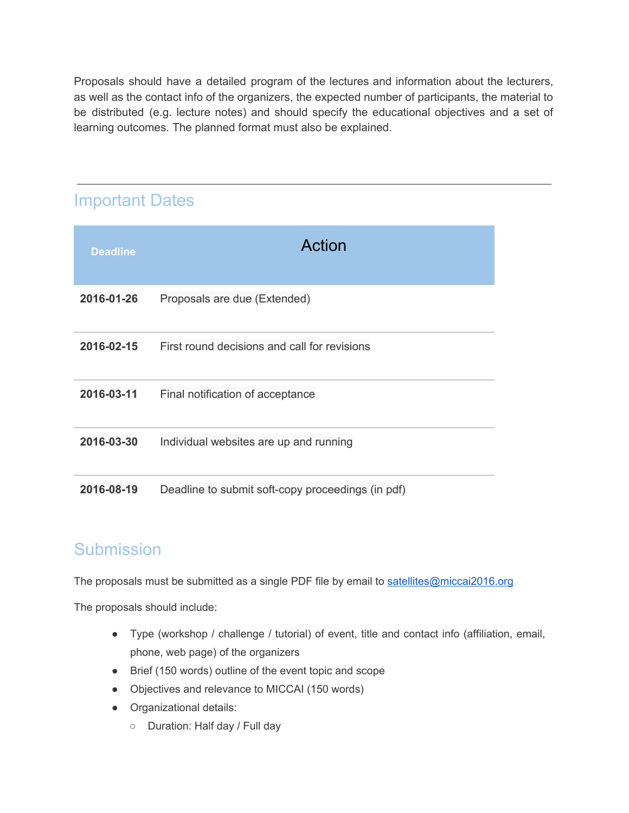Proposals should have a detailed program of the lectures and information about the lecturers, as well as the contact info of the organizers, the expected number of participants, the material to be distributed (e.g. lecture notes) and should specify the educational objectives and a set of learning outcomes. The planned format must also be explained.

## Important Dates

| <b>Deadline</b> | <b>Action</b>                                     |
|-----------------|---------------------------------------------------|
| 2016-01-26      | Proposals are due (Extended)                      |
| 2016-02-15      | First round decisions and call for revisions      |
| 2016-03-11      | Final notification of acceptance                  |
| 2016-03-30      | Individual websites are up and running            |
| 2016-08-19      | Deadline to submit soft-copy proceedings (in pdf) |

#### **Submission**

The proposals must be submitted as a single PDF file by email to [satellites@miccai2016.org](mailto:satellites@miccai2016.org)

The proposals should include:

- Type (workshop / challenge / tutorial) of event, title and contact info (affiliation, email, phone, web page) of the organizers
- Brief (150 words) outline of the event topic and scope
- Objectives and relevance to MICCAI (150 words)
- Organizational details:
	- Duration: Half day / Full day